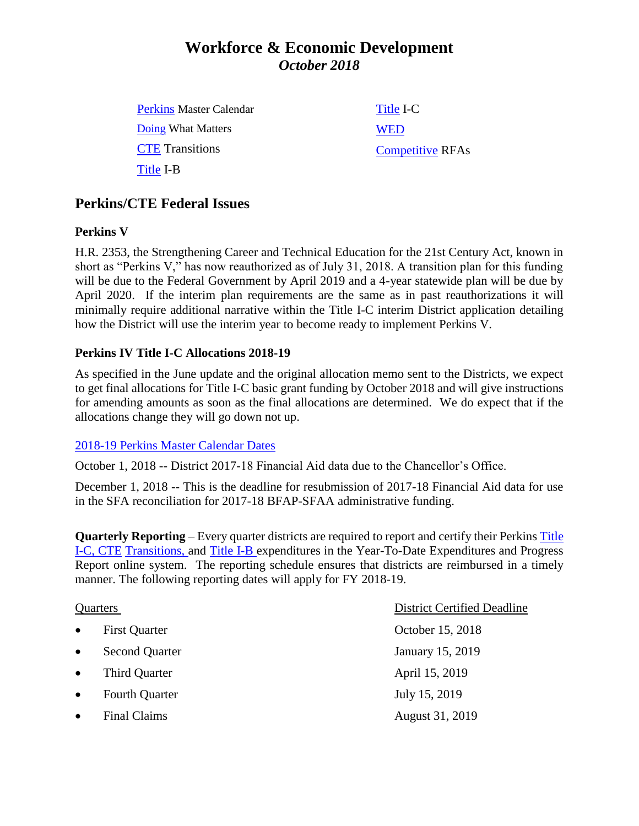# **Workforce & Economic Development** *October 2018*

| <b>Perkins Master Calendar</b> | Title I-C               |
|--------------------------------|-------------------------|
| Doing What Matters             | <b>WED</b>              |
| <b>CTE</b> Transitions         | <b>Competitive RFAs</b> |
| Title I-B                      |                         |

### **Perkins/CTE Federal Issues**

### **Perkins V**

H.R. 2353, the Strengthening Career and Technical Education for the 21st Century Act, known in short as "Perkins V," has now reauthorized as of July 31, 2018. A transition plan for this funding will be due to the Federal Government by April 2019 and a 4-year statewide plan will be due by April 2020. If the interim plan requirements are the same as in past reauthorizations it will minimally require additional narrative within the Title I-C interim District application detailing how the District will use the interim year to become ready to implement Perkins V.

### **Perkins IV Title I-C Allocations 2018-19**

As specified in the June update and the original allocation memo sent to the Districts, we expect to get final allocations for Title I-C basic grant funding by October 2018 and will give instructions for amending amounts as soon as the final allocations are determined. We do expect that if the allocations change they will go down not up.

### 2018-19 [Perkins Master](http://extranet.cccco.edu/Portals/1/WED/Perkins/2018-19%20Perkins%20Master%20Calendar.pdf) Calendar Dates

October 1, 2018 -- District 2017-18 Financial Aid data due to the Chancellor's Office.

December 1, 2018 -- This is the deadline for resubmission of 2017-18 Financial Aid data for use in the SFA reconciliation for 2017-18 BFAP-SFAA administrative funding.

**Quarterly Reporting** – Every quarter districts are required to report and certify their Perkins [Title](https://misweb02.cccco.edu/vtea/dba/logon.cfm) I-C, [CTE](https://misweb02.cccco.edu/ctetransitions/prod/logon.cfm) Transitions, and [Title](https://misweb02.cccco.edu/vteaib/prod/logon.cfm) I-B expenditures in the Year-To-Date Expenditures and Progress Report online system. The reporting schedule ensures that districts are reimbursed in a timely manner. The following reporting dates will apply for FY 2018-19.

| Quarters  |                       | <b>District Certified Deadline</b> |
|-----------|-----------------------|------------------------------------|
| $\bullet$ | <b>First Quarter</b>  | October 15, 2018                   |
| $\bullet$ | <b>Second Quarter</b> | <b>January 15, 2019</b>            |
| $\bullet$ | Third Quarter         | April 15, 2019                     |
| $\bullet$ | <b>Fourth Quarter</b> | July 15, 2019                      |
|           | <b>Final Claims</b>   | August 31, 2019                    |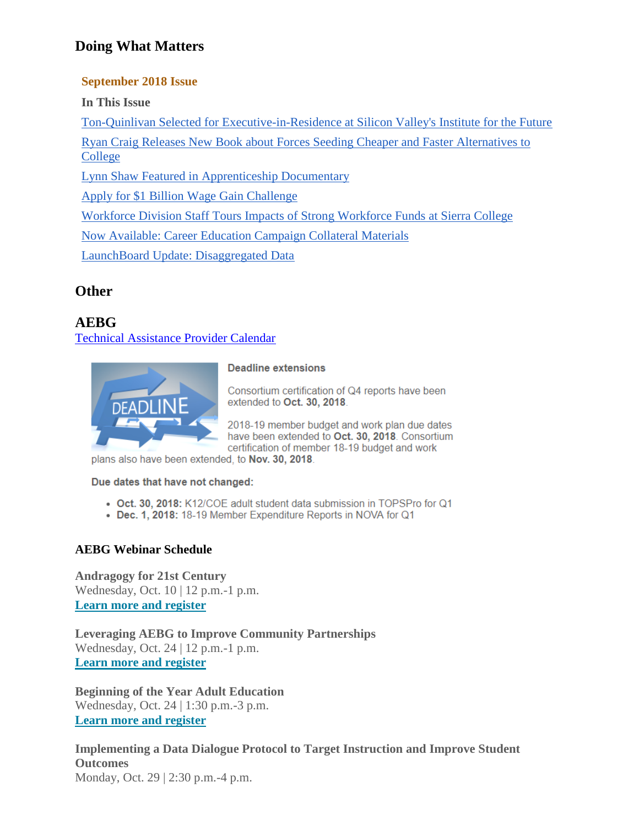## **Doing What Matters**

### **September 2018 Issue**

**In This Issue**

[Ton-Quinlivan Selected for Executive-in-Residence at Silicon Valley's Institute for the Future](https://outlook.office.com/owa/?realm=cccco.edu&exsvurl=1&ll-cc=1033&modurl=0&path=/mail/AQMkADBjOGMxMmJmLTI0ODEtNGJmNi1iMzlhLTYzNGI5ZjEyYzJlMwAuAAAD%2BthO%2BDH%2F0hGCTwCgyc%2Bh7QEA3puQVLsX5UOjqwpTNjQwpAAkeASyWAAAAA%3D%3D#x_LETTER.BLOCK70)

[Ryan Craig Releases New Book about Forces Seeding Cheaper and Faster Alternatives to](https://outlook.office.com/owa/?realm=cccco.edu&exsvurl=1&ll-cc=1033&modurl=0&path=/mail/AQMkADBjOGMxMmJmLTI0ODEtNGJmNi1iMzlhLTYzNGI5ZjEyYzJlMwAuAAAD%2BthO%2BDH%2F0hGCTwCgyc%2Bh7QEA3puQVLsX5UOjqwpTNjQwpAAkeASyWAAAAA%3D%3D#x_LETTER.BLOCK94)  [College](https://outlook.office.com/owa/?realm=cccco.edu&exsvurl=1&ll-cc=1033&modurl=0&path=/mail/AQMkADBjOGMxMmJmLTI0ODEtNGJmNi1iMzlhLTYzNGI5ZjEyYzJlMwAuAAAD%2BthO%2BDH%2F0hGCTwCgyc%2Bh7QEA3puQVLsX5UOjqwpTNjQwpAAkeASyWAAAAA%3D%3D#x_LETTER.BLOCK94)

[Lynn Shaw Featured in Apprenticeship Documentary](https://outlook.office.com/owa/?realm=cccco.edu&exsvurl=1&ll-cc=1033&modurl=0&path=/mail/AQMkADBjOGMxMmJmLTI0ODEtNGJmNi1iMzlhLTYzNGI5ZjEyYzJlMwAuAAAD%2BthO%2BDH%2F0hGCTwCgyc%2Bh7QEA3puQVLsX5UOjqwpTNjQwpAAkeASyWAAAAA%3D%3D#x_LETTER.BLOCK99)

[Apply for \\$1 Billion Wage Gain Challenge](https://outlook.office.com/owa/?realm=cccco.edu&exsvurl=1&ll-cc=1033&modurl=0&path=/mail/AQMkADBjOGMxMmJmLTI0ODEtNGJmNi1iMzlhLTYzNGI5ZjEyYzJlMwAuAAAD%2BthO%2BDH%2F0hGCTwCgyc%2Bh7QEA3puQVLsX5UOjqwpTNjQwpAAkeASyWAAAAA%3D%3D#x_LETTER.BLOCK98)

[Workforce Division Staff Tours Impacts of Strong Workforce Funds at Sierra College](https://outlook.office.com/owa/?realm=cccco.edu&exsvurl=1&ll-cc=1033&modurl=0&path=/mail/AQMkADBjOGMxMmJmLTI0ODEtNGJmNi1iMzlhLTYzNGI5ZjEyYzJlMwAuAAAD%2BthO%2BDH%2F0hGCTwCgyc%2Bh7QEA3puQVLsX5UOjqwpTNjQwpAAkeASyWAAAAA%3D%3D#x_LETTER.BLOCK63)

[Now Available: Career Education Campaign Collateral Materials](https://outlook.office.com/owa/?realm=cccco.edu&exsvurl=1&ll-cc=1033&modurl=0&path=/mail/AQMkADBjOGMxMmJmLTI0ODEtNGJmNi1iMzlhLTYzNGI5ZjEyYzJlMwAuAAAD%2BthO%2BDH%2F0hGCTwCgyc%2Bh7QEA3puQVLsX5UOjqwpTNjQwpAAkeASyWAAAAA%3D%3D#x_LETTER.BLOCK57)

[LaunchBoard Update: Disaggregated Data](https://outlook.office.com/owa/?realm=cccco.edu&exsvurl=1&ll-cc=1033&modurl=0&path=/mail/AQMkADBjOGMxMmJmLTI0ODEtNGJmNi1iMzlhLTYzNGI5ZjEyYzJlMwAuAAAD%2BthO%2BDH%2F0hGCTwCgyc%2Bh7QEA3puQVLsX5UOjqwpTNjQwpAAkeASyWAAAAA%3D%3D#x_LETTER.BLOCK100)

## **Other**

## **AEBG**

[Technical Assistance Provider Calendar](https://register.aebg.org/index.cfm?fuseaction=eventList)



#### **Deadline extensions**

Consortium certification of Q4 reports have been extended to Oct. 30, 2018.

2018-19 member budget and work plan due dates have been extended to Oct. 30, 2018. Consortium certification of member 18-19 budget and work

plans also have been extended, to Nov. 30, 2018.

Due dates that have not changed:

- Oct. 30, 2018: K12/COE adult student data submission in TOPSPro for Q1
- Dec. 1, 2018: 18-19 Member Expenditure Reports in NOVA for Q1

### **AEBG Webinar Schedule**

**Andragogy for 21st Century** Wednesday, Oct. 10 | 12 p.m.-1 p.m. **[Learn more and register](http://r20.rs6.net/tn.jsp?f=001SYQje_dLJwhGrhFMdTdq17vrw3PrWhpBY6A57tGAm5JW_l7e7B7z7yQy4J97r3BveLeL12vicDw4kX5HtrPLUtpIomNX_oGmx6kzhkq0NpNF0rNTJTxfI8rydWqNEMBZBBv0KXPIujxVg3Zxht6ZyDgpNmMPyVvbqAJqbeG5egAvBQ3-u1v4qdpW791m3mOKYXnnYD7x_KsAjZCPJ1Zmrm-jZsoVUKyvGttmrqmMeHsLnYRtYwDu8xG8NfPE08DFmsfTtn9d6jGZGVXbrTPOeCcPatyZBhbEPjmILRsPxvBqcR_Ed6GdwfpPmHGCcHSLlPqOYMvefwZ-iW1AIlmJfQpvxjpBaBf8L0cbeUBsejXbILi0r3-VHMXJaGukJkuS&c=oJe_--WIQOAPOI8LH1VGBD4Ur0jJwO6GPlZYqut6_WYkbl4BJmSy_g==&ch=1fPdxckqk-wS1XsFyNclroEBzPoquOm2CVOEimPB8ouFbgiVxp8vzQ==)**

**Leveraging AEBG to Improve Community Partnerships** Wednesday, Oct. 24 | 12 p.m.-1 p.m. **[Learn more and register](http://r20.rs6.net/tn.jsp?f=001SYQje_dLJwhGrhFMdTdq17vrw3PrWhpBY6A57tGAm5JW_l7e7B7z7wB72L3jQ9rCvgTS77j8NxRZfx69Br_c0KCC_D2xfuISddswSiOBOp0Q_M4TZ079fOK7zcSgPp6FoHYQkAlBB_hKqTkEgv2AJV3FFC9t51KzJXKhAjTY-LTxzV_Gr21U8wUJ-QsFfYXPuFqyvAmwe4H4KsWvtSakg7g2bmG2xDzlVgD_DE8RmS216ioXcC_daRv58ciGm7LsTyf1hzrbavRrgbNWSeAUs87_oxDk-q4ZeQDzVUXjFyQP95_sv42UnQaCxKTZIb4GMBv8kWT7yFWA-Tnfii_dsSb0hnLW37IvnT2gS8xl4D-IJ-fRf86gE2YJ2NTdGFny&c=oJe_--WIQOAPOI8LH1VGBD4Ur0jJwO6GPlZYqut6_WYkbl4BJmSy_g==&ch=1fPdxckqk-wS1XsFyNclroEBzPoquOm2CVOEimPB8ouFbgiVxp8vzQ==)**

**Beginning of the Year Adult Education** Wednesday, Oct. 24 | 1:30 p.m.-3 p.m. **[Learn more and register](http://r20.rs6.net/tn.jsp?f=001SYQje_dLJwhGrhFMdTdq17vrw3PrWhpBY6A57tGAm5JW_l7e7B7z7yQy4J97r3Bv_ZcoR1z4Nxp3QmHfr1HN_aUedHekXL9GhI8tusgItFgkDYNUEnDt9FYRHV41Xrm04oFU9gy3Kk8PY5V44nQ5u0LDY3XFL4BkBDajaHAqxedMePAbJBFMiP6Yo0wYNUNXKk4WDs-JLLcbbetVn-1T8P4DszKfzJTmcTI2tzcd1IqJaqzSNkFDBSB99XZ-JUcyEE2a1K8zoUb5QJHR_mKIHvJqMABrBCLR9BSCwd_1hqRNxY18TpmCgNHZhXjog6My2YaCUORXQb4wdeS3XwSncibWL8vEmOPrSxxtyiNTmjHcyBs0c1jljq_ngtnT2CHi&c=oJe_--WIQOAPOI8LH1VGBD4Ur0jJwO6GPlZYqut6_WYkbl4BJmSy_g==&ch=1fPdxckqk-wS1XsFyNclroEBzPoquOm2CVOEimPB8ouFbgiVxp8vzQ==)**

**Implementing a Data Dialogue Protocol to Target Instruction and Improve Student Outcomes** Monday, Oct. 29 | 2:30 p.m.-4 p.m.